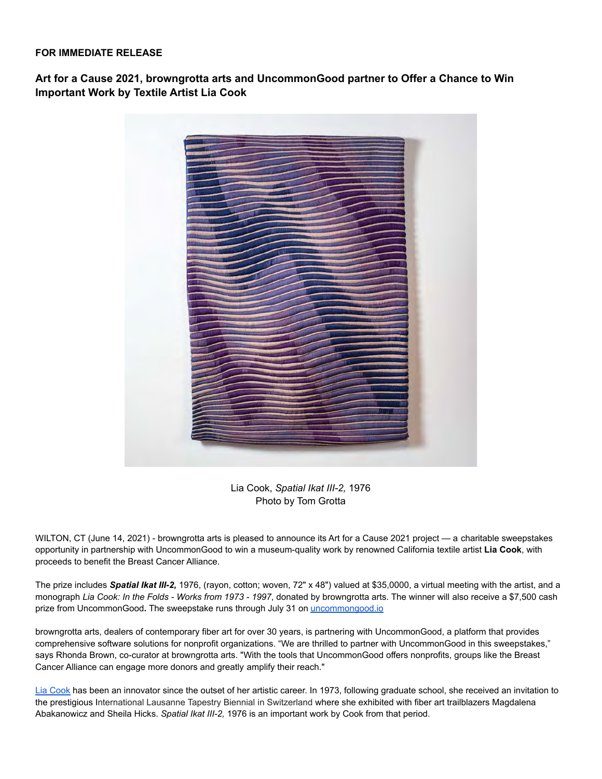## **FOR IMMEDIATE RELEASE**

**Art for a Cause 2021, browngrotta arts and UncommonGood partner to Offer a Chance to Win Important Work by Textile Artist Lia Cook**



Lia Cook, *Spatial Ikat III-2,* 1976 Photo by Tom Grotta

WILTON, CT (June 14, 2021) - browngrotta arts is pleased to announce its Art for a Cause 2021 project — a charitable sweepstakes opportunity in partnership with UncommonGood to win a museum-quality work by renowned California textile artist **Lia Cook**, with proceeds to benefit the Breast Cancer Alliance.

The prize includes *Spatial Ikat III-2,* 1976, (rayon, cotton; woven, 72" x 48") valued at \$35,0000, a virtual meeting with the artist, and a monograph *Lia Cook: In the Folds - Works from 1973 - 1997*, donated by browngrotta arts. The winner will also receive a \$7,500 cash prize from UncommonGood**.** The sweepstake runs through July 31 on [uncommongood.io](https://uncommongood.io/sweepstakes/win-a-lia-cook-art-piece-valued-at-35000-and-7500-in-cash)

browngrotta arts, dealers of contemporary fiber art for over 30 years, is partnering with UncommonGood, a platform that provides comprehensive software solutions for nonprofit organizations. "We are thrilled to partner with UncommonGood in this sweepstakes," says Rhonda Brown, co-curator at browngrotta arts. "With the tools that UncommonGood offers nonprofits, groups like the Breast Cancer Alliance can engage more donors and greatly amplify their reach."

[Lia Cook](https://www.liacook.com/) has been an innovator since the outset of her artistic career. In 1973, following graduate school, she received an invitation to the prestigious International Lausanne Tapestry Biennial in Switzerland where she exhibited with fiber art trailblazers Magdalena Abakanowicz and Sheila Hicks. *Spatial Ikat III-2,* 1976 is an important work by Cook from that period.